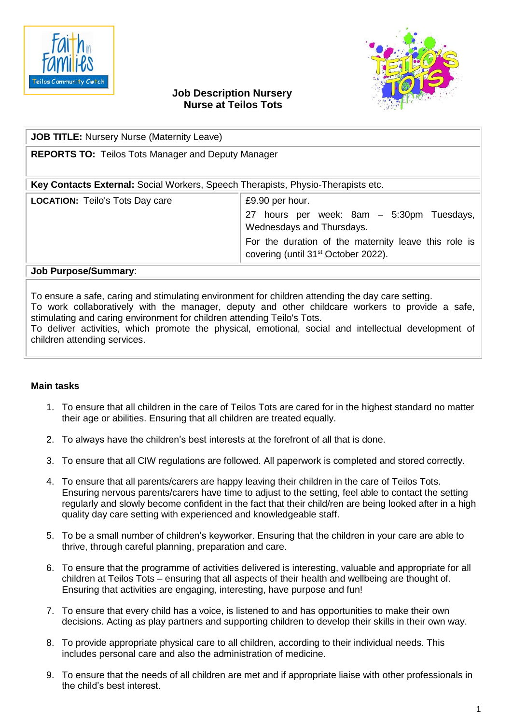



## **Job Description Nursery Nurse at Teilos Tots**

| <b>JOB TITLE: Nursery Nurse (Maternity Leave)</b>                                                |                                                                                                                                                                                                      |
|--------------------------------------------------------------------------------------------------|------------------------------------------------------------------------------------------------------------------------------------------------------------------------------------------------------|
| <b>REPORTS TO: Teilos Tots Manager and Deputy Manager</b>                                        |                                                                                                                                                                                                      |
| Key Contacts External: Social Workers, Speech Therapists, Physio-Therapists etc.                 |                                                                                                                                                                                                      |
| <b>LOCATION:</b> Teilo's Tots Day care                                                           | £9.90 per hour.<br>27 hours per week: 8am - 5:30pm Tuesdays,<br>Wednesdays and Thursdays.<br>For the duration of the maternity leave this role is<br>covering (until 31 <sup>st</sup> October 2022). |
| <b>Job Purpose/Summary:</b>                                                                      |                                                                                                                                                                                                      |
| Do ensure a safe, caring and stimulating environment for children attending the day care setting |                                                                                                                                                                                                      |

To ensure a safe, caring and stimulating environment for children attending the day care setting. To work collaboratively with the manager, deputy and other childcare workers to provide a safe, stimulating and caring environment for children attending Teilo's Tots. To deliver activities, which promote the physical, emotional, social and intellectual development of children attending services.

## **Main tasks**

- 1. To ensure that all children in the care of Teilos Tots are cared for in the highest standard no matter their age or abilities. Ensuring that all children are treated equally.
- 2. To always have the children's best interests at the forefront of all that is done.
- 3. To ensure that all CIW regulations are followed. All paperwork is completed and stored correctly.
- 4. To ensure that all parents/carers are happy leaving their children in the care of Teilos Tots. Ensuring nervous parents/carers have time to adjust to the setting, feel able to contact the setting regularly and slowly become confident in the fact that their child/ren are being looked after in a high quality day care setting with experienced and knowledgeable staff.
- 5. To be a small number of children's keyworker. Ensuring that the children in your care are able to thrive, through careful planning, preparation and care.
- 6. To ensure that the programme of activities delivered is interesting, valuable and appropriate for all children at Teilos Tots – ensuring that all aspects of their health and wellbeing are thought of. Ensuring that activities are engaging, interesting, have purpose and fun!
- 7. To ensure that every child has a voice, is listened to and has opportunities to make their own decisions. Acting as play partners and supporting children to develop their skills in their own way.
- 8. To provide appropriate physical care to all children, according to their individual needs. This includes personal care and also the administration of medicine.
- 9. To ensure that the needs of all children are met and if appropriate liaise with other professionals in the child's best interest.